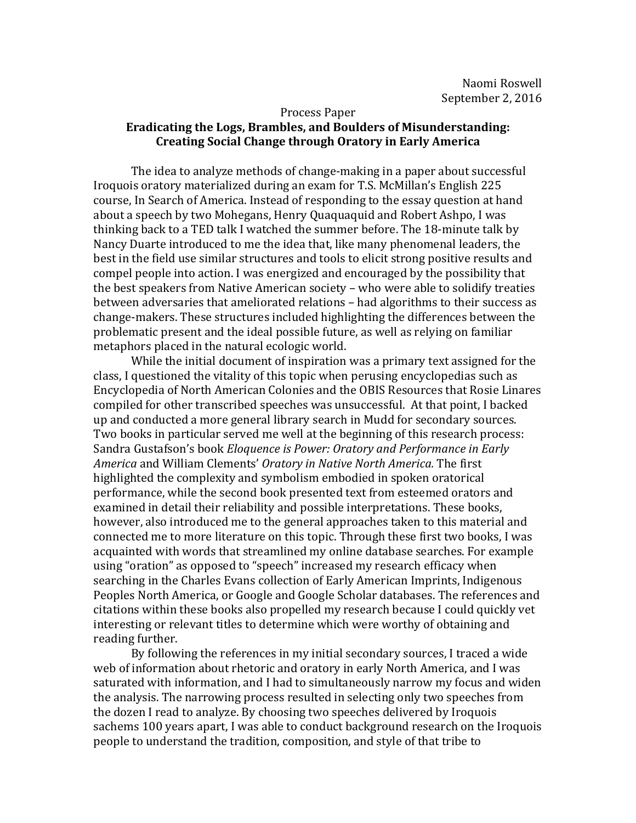## Process Paper **Eradicating the Logs, Brambles, and Boulders of Misunderstanding: Creating Social Change through Oratory in Early America**

The idea to analyze methods of change-making in a paper about successful Iroquois oratory materialized during an exam for T.S. McMillan's English 225 course, In Search of America. Instead of responding to the essay question at hand about a speech by two Mohegans, Henry Quaquaquid and Robert Ashpo, I was thinking back to a TED talk I watched the summer before. The 18-minute talk by Nancy Duarte introduced to me the idea that, like many phenomenal leaders, the best in the field use similar structures and tools to elicit strong positive results and compel people into action. I was energized and encouraged by the possibility that the best speakers from Native American society – who were able to solidify treaties between adversaries that ameliorated relations - had algorithms to their success as change-makers. These structures included highlighting the differences between the problematic present and the ideal possible future, as well as relying on familiar metaphors placed in the natural ecologic world.

While the initial document of inspiration was a primary text assigned for the class, I questioned the vitality of this topic when perusing encyclopedias such as Encyclopedia of North American Colonies and the OBIS Resources that Rosie Linares compiled for other transcribed speeches was unsuccessful. At that point, I backed up and conducted a more general library search in Mudd for secondary sources. Two books in particular served me well at the beginning of this research process: Sandra Gustafson's book *Eloquence* is Power: Oratory and Performance in Early America and William Clements' Oratory in Native North America. The first highlighted the complexity and symbolism embodied in spoken oratorical performance, while the second book presented text from esteemed orators and examined in detail their reliability and possible interpretations. These books, however, also introduced me to the general approaches taken to this material and connected me to more literature on this topic. Through these first two books, I was acquainted with words that streamlined my online database searches. For example using "oration" as opposed to "speech" increased my research efficacy when searching in the Charles Evans collection of Early American Imprints, Indigenous Peoples North America, or Google and Google Scholar databases. The references and citations within these books also propelled my research because I could quickly vet interesting or relevant titles to determine which were worthy of obtaining and reading further.

By following the references in my initial secondary sources, I traced a wide web of information about rhetoric and oratory in early North America, and I was saturated with information, and I had to simultaneously narrow my focus and widen the analysis. The narrowing process resulted in selecting only two speeches from the dozen I read to analyze. By choosing two speeches delivered by Iroquois sachems 100 years apart, I was able to conduct background research on the Iroquois people to understand the tradition, composition, and style of that tribe to